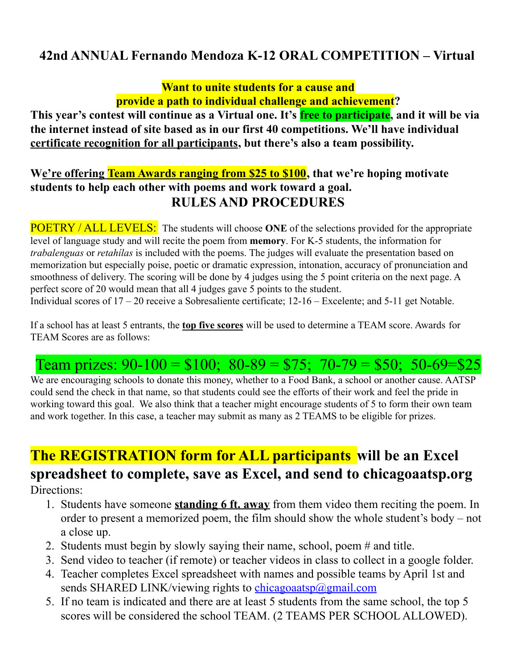### **42nd ANNUAL Fernando Mendoza K-12 ORAL COMPETITION – Virtual**

**Want to unite students for a cause and provide a path to individual challenge and achievement?**

**This year's contest will continue as a Virtual one. It's free to participate, and it will be via the internet instead of site based as in our first 40 competitions. We'll have individual certificate recognition for all participants, but there's also a team possibility.**

#### **We're offering Team Awards ranging from \$25 to \$100, that we're hoping motivate students to help each other with poems and work toward a goal. RULES AND PROCEDURES**

POETRY / ALL LEVELS: The students will choose **ONE** of the selections provided for the appropriate level of language study and will recite the poem from **memory**. For K-5 students, the information for *trabalenguas* or *retahílas* is included with the poems. The judges will evaluate the presentation based on memorization but especially poise, poetic or dramatic expression, intonation, accuracy of pronunciation and smoothness of delivery. The scoring will be done by 4 judges using the 5 point criteria on the next page. A perfect score of 20 would mean that all 4 judges gave 5 points to the student. Individual scores of 17 – 20 receive a Sobresaliente certificate; 12-16 – Excelente; and 5-11 get Notable.

If a school has at least 5 entrants, the **top five scores** will be used to determine a TEAM score. Awards for TEAM Scores are as follows:

## Team prizes:  $90-100 = $100$ ;  $80-89 = $75$ ;  $70-79 = $50$ ;  $50-69 = $25$

We are encouraging schools to donate this money, whether to a Food Bank, a school or another cause. AATSP could send the check in that name, so that students could see the efforts of their work and feel the pride in working toward this goal. We also think that a teacher might encourage students of 5 to form their own team and work together. In this case, a teacher may submit as many as 2 TEAMS to be eligible for prizes.

# **The REGISTRATION form for ALL participants will be an Excel spreadsheet to complete, save as Excel, and send to chicagoaatsp.org**

Directions:

- 1. Students have someone **standing 6 ft. away** from them video them reciting the poem. In order to present a memorized poem, the film should show the whole student's body – not a close up.
- 2. Students must begin by slowly saying their name, school, poem # and title.
- 3. Send video to teacher (if remote) or teacher videos in class to collect in a google folder.
- 4. Teacher completes Excel spreadsheet with names and possible teams by April 1st and sends SHARED LINK/viewing rights to [chicagoaatsp@gmail.com](mailto:chicagoaatsp@gmail.com)
- 5. If no team is indicated and there are at least 5 students from the same school, the top 5 scores will be considered the school TEAM. (2 TEAMS PER SCHOOL ALLOWED).